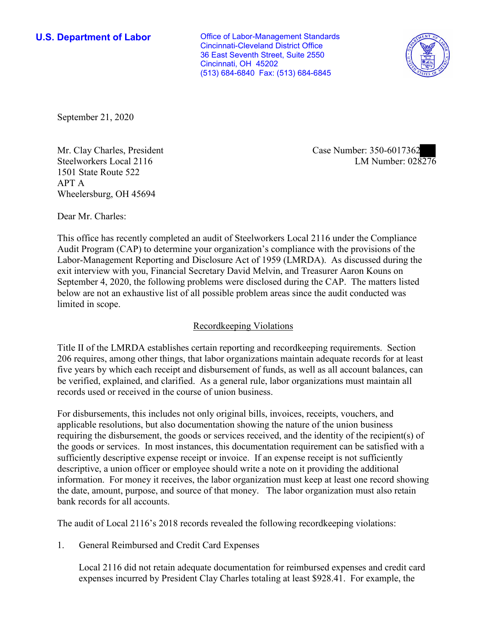**U.S. Department of Labor Conservative Conservative Conservative Conservative U.S.** Department of Labor Cincinnati-Cleveland District Office 36 East Seventh Street, Suite 2550 Cincinnati, OH 45202 (513) 684-6840 Fax: (513) 684-6845



September 21, 2020

Steelworkers Local 2116 1501 State Route 522 APT A Wheelersburg, OH 45694

LM Number:  $028276$ Mr. Clay Charles, President Case Number: 350-6017362

Dear Mr. Charles:

 This office has recently completed an audit of Steelworkers Local 2116 under the Compliance Audit Program (CAP) to determine your organization's compliance with the provisions of the Labor-Management Reporting and Disclosure Act of 1959 (LMRDA). As discussed during the exit interview with you, Financial Secretary David Melvin, and Treasurer Aaron Kouns on September 4, 2020, the following problems were disclosed during the CAP. The matters listed below are not an exhaustive list of all possible problem areas since the audit conducted was limited in scope.

# Recordkeeping Violations

 Title II of the LMRDA establishes certain reporting and recordkeeping requirements. Section 206 requires, among other things, that labor organizations maintain adequate records for at least five years by which each receipt and disbursement of funds, as well as all account balances, can be verified, explained, and clarified. As a general rule, labor organizations must maintain all records used or received in the course of union business.

For disbursements, this includes not only original bills, invoices, receipts, vouchers, and applicable resolutions, but also documentation showing the nature of the union business requiring the disbursement, the goods or services received, and the identity of the recipient(s) of the goods or services. In most instances, this documentation requirement can be satisfied with a sufficiently descriptive expense receipt or invoice. If an expense receipt is not sufficiently descriptive, a union officer or employee should write a note on it providing the additional information. For money it receives, the labor organization must keep at least one record showing the date, amount, purpose, and source of that money. The labor organization must also retain bank records for all accounts.

The audit of Local 2116's 2018 records revealed the following recordkeeping violations:

1. General Reimbursed and Credit Card Expenses

Local 2116 did not retain adequate documentation for reimbursed expenses and credit card expenses incurred by President Clay Charles totaling at least \$928.41. For example, the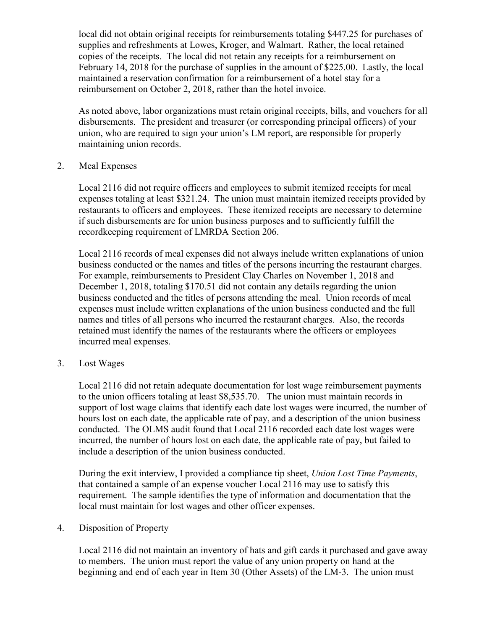maintained a reservation confirmation for a reimbursement of a hotel stay for a local did not obtain original receipts for reimbursements totaling \$447.25 for purchases of supplies and refreshments at Lowes, Kroger, and Walmart. Rather, the local retained copies of the receipts. The local did not retain any receipts for a reimbursement on February 14, 2018 for the purchase of supplies in the amount of \$225.00. Lastly, the local reimbursement on October 2, 2018, rather than the hotel invoice.

 disbursements. The president and treasurer (or corresponding principal officers) of your As noted above, labor organizations must retain original receipts, bills, and vouchers for all union, who are required to sign your union's LM report, are responsible for properly maintaining union records.

2. Meal Expenses

Local 2116 did not require officers and employees to submit itemized receipts for meal expenses totaling at least \$321.24. The union must maintain itemized receipts provided by restaurants to officers and employees. These itemized receipts are necessary to determine if such disbursements are for union business purposes and to sufficiently fulfill the recordkeeping requirement of LMRDA Section 206.

 retained must identify the names of the restaurants where the officers or employees incurred meal expenses. 3. Lost Wages Local 2116 records of meal expenses did not always include written explanations of union business conducted or the names and titles of the persons incurring the restaurant charges. For example, reimbursements to President Clay Charles on November 1, 2018 and December 1, 2018, totaling \$170.51 did not contain any details regarding the union business conducted and the titles of persons attending the meal. Union records of meal expenses must include written explanations of the union business conducted and the full names and titles of all persons who incurred the restaurant charges. Also, the records

 conducted. The OLMS audit found that Local 2116 recorded each date lost wages were Local 2116 did not retain adequate documentation for lost wage reimbursement payments to the union officers totaling at least [\\$8,535.70](https://8,535.70). The union must maintain records in support of lost wage claims that identify each date lost wages were incurred, the number of hours lost on each date, the applicable rate of pay, and a description of the union business incurred, the number of hours lost on each date, the applicable rate of pay, but failed to include a description of the union business conducted.

 that contained a sample of an expense voucher Local 2116 may use to satisfy this During the exit interview, I provided a compliance tip sheet, *Union Lost Time Payments*, requirement. The sample identifies the type of information and documentation that the local must maintain for lost wages and other officer expenses.

4. Disposition of Property

Local 2116 did not maintain an inventory of hats and gift cards it purchased and gave away to members. The union must report the value of any union property on hand at the beginning and end of each year in Item 30 (Other Assets) of the LM-3. The union must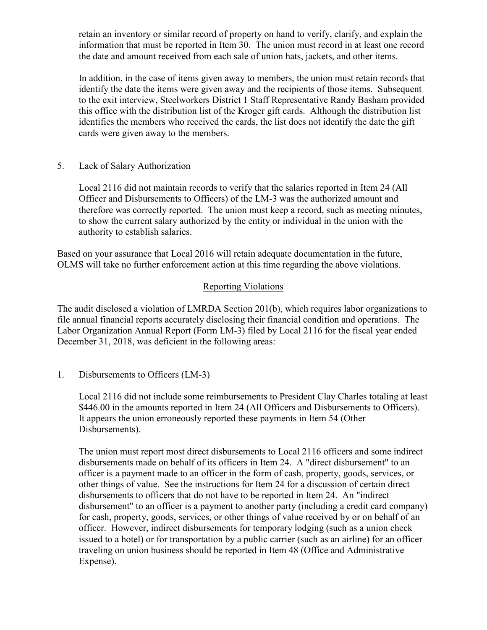retain an inventory or similar record of property on hand to verify, clarify, and explain the information that must be reported in Item 30. The union must record in at least one record the date and amount received from each sale of union hats, jackets, and other items.

 identify the date the items were given away and the recipients of those items. Subsequent identifies the members who received the cards, the list does not identify the date the gift cards were given away to the members. 5. Lack of Salary Authorization In addition, in the case of items given away to members, the union must retain records that to the exit interview, Steelworkers District 1 Staff Representative Randy Basham provided this office with the distribution list of the Kroger gift cards. Although the distribution list

Local 2116 did not maintain records to verify that the salaries reported in Item 24 (All Officer and Disbursements to Officers) of the LM-3 was the authorized amount and therefore was correctly reported. The union must keep a record, such as meeting minutes, to show the current salary authorized by the entity or individual in the union with the authority to establish salaries.

 Based on your assurance that Local 2016 will retain adequate documentation in the future, OLMS will take no further enforcement action at this time regarding the above violations.

## Reporting Violations

 Labor Organization Annual Report (Form LM-3) filed by Local 2116 for the fiscal year ended The audit disclosed a violation of LMRDA Section 201(b), which requires labor organizations to file annual financial reports accurately disclosing their financial condition and operations. The December 31, 2018, was deficient in the following areas:

1. Disbursements to Officers (LM-3)

Local 2116 did not include some reimbursements to President Clay Charles totaling at least \$446.00 in the amounts reported in Item 24 (All Officers and Disbursements to Officers). It appears the union erroneously reported these payments in Item 54 (Other Disbursements).

 issued to a hotel) or for transportation by a public carrier (such as an airline) for an officer The union must report most direct disbursements to Local 2116 officers and some indirect disbursements made on behalf of its officers in Item 24. A "direct disbursement" to an officer is a payment made to an officer in the form of cash, property, goods, services, or other things of value. See the instructions for Item 24 for a discussion of certain direct disbursements to officers that do not have to be reported in Item 24. An "indirect disbursement" to an officer is a payment to another party (including a credit card company) for cash, property, goods, services, or other things of value received by or on behalf of an officer. However, indirect disbursements for temporary lodging (such as a union check traveling on union business should be reported in Item 48 (Office and Administrative Expense).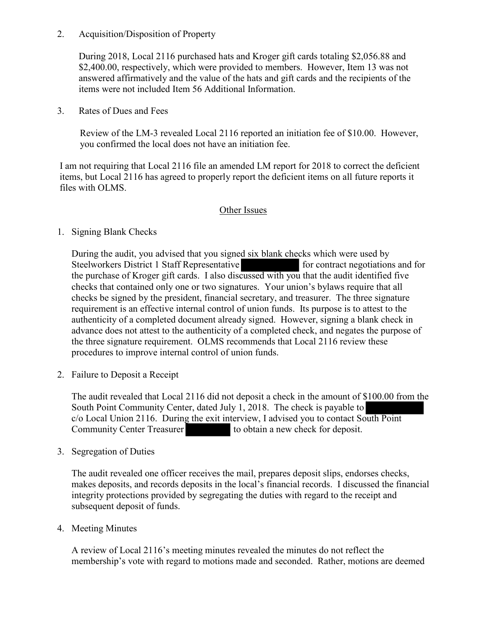## 2. Acquisition/Disposition of Property

During 2018, Local 2116 purchased hats and Kroger gift cards totaling [\\$2,056.88](https://2,056.88) and \$[2,400.00](https://2,400.00), respectively, which were provided to members. However, Item 13 was not answered affirmatively and the value of the hats and gift cards and the recipients of the items were not included Item 56 Additional Information.

3. Rates of Dues and Fees

Review of the LM-3 revealed Local 2116 reported an initiation fee of \$10.00. However, you confirmed the local does not have an initiation fee.

 items, but Local 2116 has agreed to properly report the deficient items on all future reports it files with OLMS. files with OLMS. I am not requiring that Local 2116 file an amended LM report for 2018 to correct the deficient

## Other Issues

1. Signing Blank Checks

 checks that contained only one or two signatures. Your union's bylaws require that all During the audit, you advised that you signed six blank checks which were used by Steelworkers District 1 Staff Representative for contract negotiations and for the purchase of Kroger gift cards. I also discussed with you that the audit identified five checks be signed by the president, financial secretary, and treasurer. The three signature requirement is an effective internal control of union funds. Its purpose is to attest to the authenticity of a completed document already signed. However, signing a blank check in advance does not attest to the authenticity of a completed check, and negates the purpose of the three signature requirement. OLMS recommends that Local 2116 review these procedures to improve internal control of union funds.

2. Failure to Deposit a Receipt

The audit revealed that Local 2116 did not deposit a check in the amount of \$100.00 from the unity Center, da<br>16. During the<br>Treasurer South Point Community Center, dated July 1, 2018. The check is payable to c/o Local Union 2116. During the exit interview, I advised you to contact South Point Community Center Treasurer to obtain a new check for deposit.

3. Segregation of Duties

The audit revealed one officer receives the mail, prepares deposit slips, endorses checks, makes deposits, and records deposits in the local's financial records. I discussed the financial integrity protections provided by segregating the duties with regard to the receipt and subsequent deposit of funds.

4. Meeting Minutes

A review of Local 2116's meeting minutes revealed the minutes do not reflect the membership's vote with regard to motions made and seconded. Rather, motions are deemed